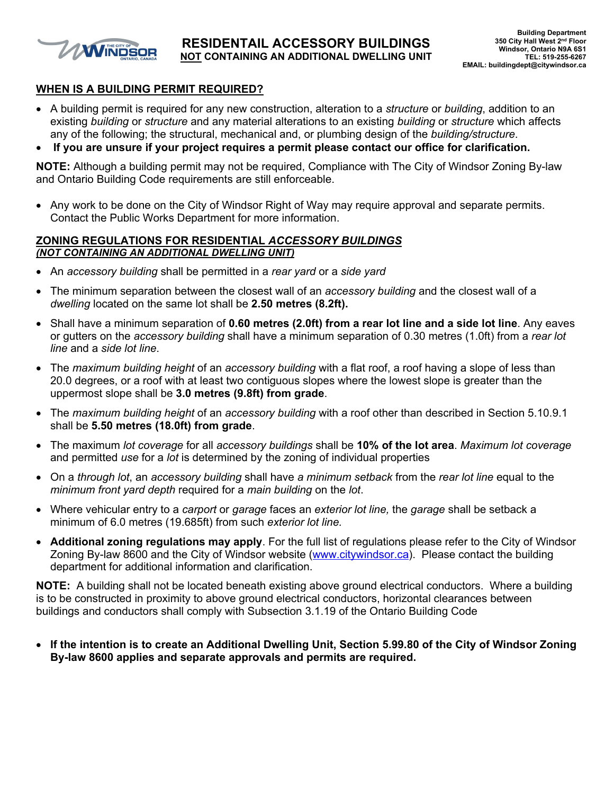

#### **WHEN IS A BUILDING PERMIT REQUIRED?**

- A building permit is required for any new construction, alteration to a *structure* or *building*, addition to an existing *building* or *structure* and any material alterations to an existing *building* or *structure* which affects any of the following; the structural, mechanical and, or plumbing design of the *building/structure*.
- **If you are unsure if your project requires a permit please contact our office for clarification.**

**NOTE:** Although a building permit may not be required, Compliance with The City of Windsor Zoning By-law and Ontario Building Code requirements are still enforceable.

• Any work to be done on the City of Windsor Right of Way may require approval and separate permits. Contact the Public Works Department for more information.

#### **ZONING REGULATIONS FOR RESIDENTIAL** *ACCESSORY BUILDINGS (NOT CONTAINING AN ADDITIONAL DWELLING UNIT)*

- An *accessory building* shall be permitted in a *rear yard* or a *side yard*
- The minimum separation between the closest wall of an *accessory building* and the closest wall of a *dwelling* located on the same lot shall be **2.50 metres (8.2ft).**
- Shall have a minimum separation of **0.60 metres (2.0ft) from a rear lot line and a side lot line**. Any eaves or gutters on the *accessory building* shall have a minimum separation of 0.30 metres (1.0ft) from a *rear lot line* and a *side lot line*.
- The *maximum building height* of an *accessory building* with a flat roof, a roof having a slope of less than 20.0 degrees, or a roof with at least two contiguous slopes where the lowest slope is greater than the uppermost slope shall be **3.0 metres (9.8ft) from grade**.
- The *maximum building height* of an *accessory building* with a roof other than described in Section 5.10.9.1 shall be **5.50 metres (18.0ft) from grade**.
- The maximum *lot coverage* for all *accessory buildings* shall be **10% of the lot area**. *Maximum lot coverage* and permitted *use* for a *lot* is determined by the zoning of individual properties
- On a *through lot*, an *accessory building* shall have *a minimum setback* from the *rear lot line* equal to the *minimum front yard depth* required for a *main building* on the *lot*.
- Where vehicular entry to a *carport* or *garage* faces an *exterior lot line,* the *garage* shall be setback a minimum of 6.0 metres (19.685ft) from such *exterior lot line.*
- **Additional zoning regulations may apply**. For the full list of regulations please refer to the City of Windsor Zoning By-law 8600 and the City of Windsor website ([www.citywindsor.ca\)](http://www.citywindsor.ca/). Please contact the building department for additional information and clarification.

**NOTE:** A building shall not be located beneath existing above ground electrical conductors. Where a building is to be constructed in proximity to above ground electrical conductors, horizontal clearances between buildings and conductors shall comply with Subsection 3.1.19 of the Ontario Building Code

 **If the intention is to create an Additional Dwelling Unit, Section 5.99.80 of the City of Windsor Zoning By-law 8600 applies and separate approvals and permits are required.**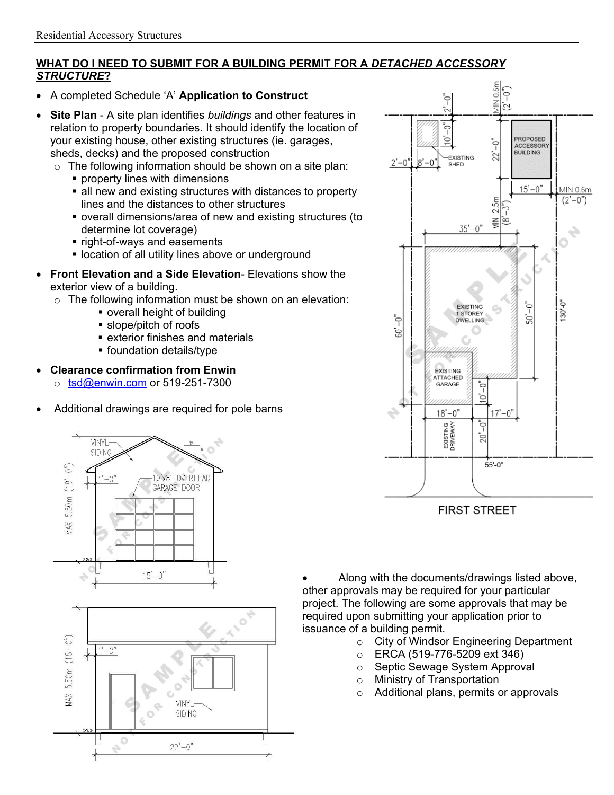## **WHAT DO I NEED TO SUBMIT FOR A BUILDING PERMIT FOR A** *DETACHED ACCESSORY STRUCTURE***?**

- A completed Schedule 'A' **Application to Construct**
- **Site Plan** A site plan identifies *buildings* and other features in relation to property boundaries. It should identify the location of your existing house, other existing structures (ie. garages, sheds, decks) and the proposed construction
	- o The following information should be shown on a site plan:
		- **Peroperty lines with dimensions**
		- all new and existing structures with distances to property lines and the distances to other structures
		- overall dimensions/area of new and existing structures (to determine lot coverage)
		- **Fight-of-ways and easements**
		- **.** location of all utility lines above or underground
- **Front Elevation and a Side Elevation** Elevations show the exterior view of a building.
	- $\circ$  The following information must be shown on an elevation:
		- overall height of building
		- slope/pitch of roofs
		- exterior finishes and materials
		- **foundation details/type**
- **Clearance confirmation from Enwin**
	- $\circ$  [tsd@enwin.com](mailto:tsd@enwin.com) or 519-251-7300
- Additional drawings are required for pole barns







**FIRST STREET** 

 Along with the documents/drawings listed above, other approvals may be required for your particular project. The following are some approvals that may be required upon submitting your application prior to issuance of a building permit.

- o City of Windsor Engineering Department
- o ERCA (519-776-5209 ext 346)
- o Septic Sewage System Approval
- o Ministry of Transportation
- o Additional plans, permits or approvals